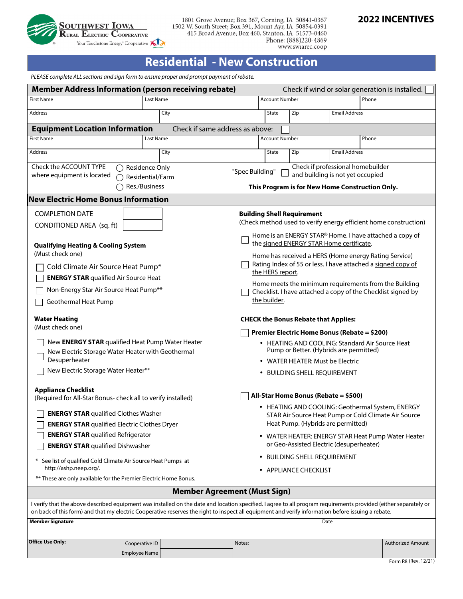

 $1801~\mbox{Grove Avenue; Box 367, Corning, IA } 50841-0367\\ 1502~\mbox{W. South Street; Box 391, Mount Ayr, IA } 50854-0391\\ 415~\mbox{Broad Avenue; Box 460, Stanton, IA } 51573-0460$ Phone: (888)220-4869<br>www.swiarec.coop

# **2022 INCENTIVES**

# **Residential - New Construction**

 *PLEASE complete ALL sections and sign form to ensure proper and prompt payment of rebate.*

| <b>Member Address Information (person receiving rebate)</b><br>Check if wind or solar generation is installed.                                                                                                                                                                                                                                                                                                                                                                                 |                                                                                                                                             |        |                                                                                                                                                                                                                                                                                                                                                                                                                     |                                                                                                                    |                                                                                                                                                                                                                                                                                                                                                                                                                                                                                                                                                                         |                          |  |
|------------------------------------------------------------------------------------------------------------------------------------------------------------------------------------------------------------------------------------------------------------------------------------------------------------------------------------------------------------------------------------------------------------------------------------------------------------------------------------------------|---------------------------------------------------------------------------------------------------------------------------------------------|--------|---------------------------------------------------------------------------------------------------------------------------------------------------------------------------------------------------------------------------------------------------------------------------------------------------------------------------------------------------------------------------------------------------------------------|--------------------------------------------------------------------------------------------------------------------|-------------------------------------------------------------------------------------------------------------------------------------------------------------------------------------------------------------------------------------------------------------------------------------------------------------------------------------------------------------------------------------------------------------------------------------------------------------------------------------------------------------------------------------------------------------------------|--------------------------|--|
| <b>First Name</b>                                                                                                                                                                                                                                                                                                                                                                                                                                                                              | Last Name                                                                                                                                   |        | <b>Account Number</b>                                                                                                                                                                                                                                                                                                                                                                                               |                                                                                                                    | Phone                                                                                                                                                                                                                                                                                                                                                                                                                                                                                                                                                                   |                          |  |
| Address                                                                                                                                                                                                                                                                                                                                                                                                                                                                                        | City                                                                                                                                        |        | State                                                                                                                                                                                                                                                                                                                                                                                                               | Zip                                                                                                                | Email Address                                                                                                                                                                                                                                                                                                                                                                                                                                                                                                                                                           |                          |  |
| <b>Equipment Location Information</b>                                                                                                                                                                                                                                                                                                                                                                                                                                                          | Check if same address as above:                                                                                                             |        |                                                                                                                                                                                                                                                                                                                                                                                                                     |                                                                                                                    |                                                                                                                                                                                                                                                                                                                                                                                                                                                                                                                                                                         |                          |  |
| <b>First Name</b>                                                                                                                                                                                                                                                                                                                                                                                                                                                                              | Last Name                                                                                                                                   |        | <b>Account Number</b>                                                                                                                                                                                                                                                                                                                                                                                               |                                                                                                                    | Phone                                                                                                                                                                                                                                                                                                                                                                                                                                                                                                                                                                   |                          |  |
| Address                                                                                                                                                                                                                                                                                                                                                                                                                                                                                        | City                                                                                                                                        |        | State                                                                                                                                                                                                                                                                                                                                                                                                               | Zip                                                                                                                | <b>Email Address</b>                                                                                                                                                                                                                                                                                                                                                                                                                                                                                                                                                    |                          |  |
| Check the ACCOUNT TYPE<br>$\bigcap$ Residence Only<br>where equipment is located<br>Residential/Farm<br>Res./Business                                                                                                                                                                                                                                                                                                                                                                          | Check if professional homebuilder<br>"Spec Building"<br>and building is not yet occupied<br>This Program is for New Home Construction Only. |        |                                                                                                                                                                                                                                                                                                                                                                                                                     |                                                                                                                    |                                                                                                                                                                                                                                                                                                                                                                                                                                                                                                                                                                         |                          |  |
| <b>New Electric Home Bonus Information</b>                                                                                                                                                                                                                                                                                                                                                                                                                                                     |                                                                                                                                             |        |                                                                                                                                                                                                                                                                                                                                                                                                                     |                                                                                                                    |                                                                                                                                                                                                                                                                                                                                                                                                                                                                                                                                                                         |                          |  |
| <b>COMPLETION DATE</b><br>CONDITIONED AREA (sq. ft)<br><b>Qualifying Heating &amp; Cooling System</b><br>(Must check one)<br>Cold Climate Air Source Heat Pump*<br><b>ENERGY STAR qualified Air Source Heat</b><br>Non-Energy Star Air Source Heat Pump**<br>Geothermal Heat Pump<br><b>Water Heating</b><br>(Must check one)<br>New ENERGY STAR qualified Heat Pump Water Heater<br>New Electric Storage Water Heater with Geothermal<br>Desuperheater                                        |                                                                                                                                             |        | the HERS report.<br>the builder.                                                                                                                                                                                                                                                                                                                                                                                    | <b>Building Shell Requirement</b><br><b>CHECK the Bonus Rebate that Applies:</b><br>WATER HEATER: Must be Electric | (Check method used to verify energy efficient home construction)<br>Home is an ENERGY STAR® Home. I have attached a copy of<br>the signed ENERGY STAR Home certificate.<br>Home has received a HERS (Home energy Rating Service)<br>Rating Index of 55 or less. I have attached a signed copy of<br>Home meets the minimum requirements from the Building<br>Checklist. I have attached a copy of the Checklist signed by<br>Premier Electric Home Bonus (Rebate = \$200)<br>• HEATING AND COOLING: Standard Air Source Heat<br>Pump or Better. (Hybrids are permitted) |                          |  |
| New Electric Storage Water Heater**<br><b>Appliance Checklist</b><br>(Required for All-Star Bonus- check all to verify installed)<br><b>ENERGY STAR qualified Clothes Washer</b><br><b>ENERGY STAR qualified Electric Clothes Dryer</b><br><b>ENERGY STAR qualified Refrigerator</b><br><b>ENERGY STAR qualified Dishwasher</b><br>* See list of qualified Cold Climate Air Source Heat Pumps at<br>http://ashp.neep.org/.<br>** These are only available for the Premier Electric Home Bonus. |                                                                                                                                             |        | <b>BUILDING SHELL REQUIREMENT</b><br>$\bullet$<br>All-Star Home Bonus (Rebate = \$500)<br>• HEATING AND COOLING: Geothermal System, ENERGY<br>STAR Air Source Heat Pump or Cold Climate Air Source<br>Heat Pump. (Hybrids are permitted)<br>WATER HEATER: ENERGY STAR Heat Pump Water Heater<br>$\bullet$<br>or Geo-Assisted Electric (desuperheater)<br><b>BUILDING SHELL REQUIREMENT</b><br>• APPLIANCE CHECKLIST |                                                                                                                    |                                                                                                                                                                                                                                                                                                                                                                                                                                                                                                                                                                         |                          |  |
| <b>Member Agreement (Must Sign)</b>                                                                                                                                                                                                                                                                                                                                                                                                                                                            |                                                                                                                                             |        |                                                                                                                                                                                                                                                                                                                                                                                                                     |                                                                                                                    |                                                                                                                                                                                                                                                                                                                                                                                                                                                                                                                                                                         |                          |  |
| I verify that the above described equipment was installed on the date and location specified. I agree to all program requirements provided (either separately or<br>on back of this form) and that my electric Cooperative reserves the right to inspect all equipment and verify information before issuing a rebate.<br><b>Member Signature</b><br><b>Office Use Only:</b>                                                                                                                   |                                                                                                                                             |        |                                                                                                                                                                                                                                                                                                                                                                                                                     | Date                                                                                                               |                                                                                                                                                                                                                                                                                                                                                                                                                                                                                                                                                                         |                          |  |
| Cooperative ID<br><b>Employee Name</b>                                                                                                                                                                                                                                                                                                                                                                                                                                                         |                                                                                                                                             | Notes: |                                                                                                                                                                                                                                                                                                                                                                                                                     |                                                                                                                    |                                                                                                                                                                                                                                                                                                                                                                                                                                                                                                                                                                         | <b>Authorized Amount</b> |  |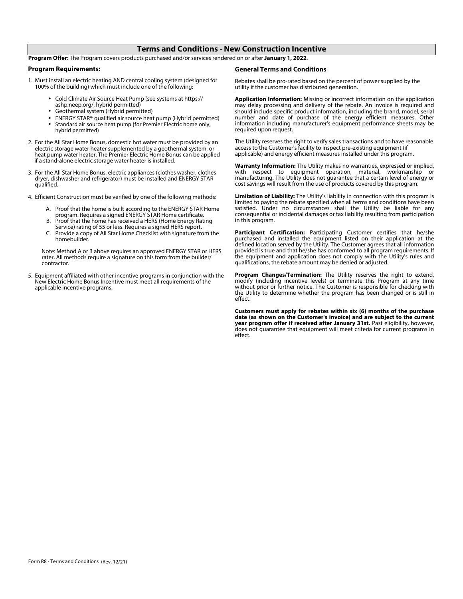## **Terms and Conditions - New Construction Incentive**

**Program Offer:** The Program covers products purchased and/or services rendered on or after **January 1, 2022**.

#### **Program Requirements:**

- 1. Must install an electric heating AND central cooling system (designed for 100% of the building) which must include one of the following:
	- Cold Climate Air Source Heat Pump (see systems at https:// ashp.neep.org/, hybrid permitted)
	- Geothermal system (Hybrid permitted)
	- ENERGY STAR® qualified air source heat pump (Hybrid permitted)
	- Standard air source heat pump (for Premier Electric home only, hybrid permitted)
- 2. For the All Star Home Bonus, domestic hot water must be provided by an electric storage water heater supplemented by a geothermal system, or heat pump water heater. The Premier Electric Home Bonus can be applied if a stand-alone electric storage water heater is installed.
- 3. For the All Star Home Bonus, electric appliances (clothes washer, clothes dryer, dishwasher and refrigerator) must be installed and ENERGY STAR qualified.
- 4. Efficient Construction must be verified by one of the following methods:
	- A. Proof that the home is built according to the ENERGY STAR Home program. Requires a signed ENERGY STAR Home certificate.
	- B. Proof that the home has received a HERS (Home Energy Rating Service) rating of 55 or less. Requires a signed HERS report.
	- C. Provide a copy of All Star Home Checklist with signature from the homebuilder.

Note: Method A or B above requires an approved ENERGY STAR or HERS rater. All methods require a signature on this form from the builder/ contractor.

5. Equipment affiliated with other incentive programs in conjunction with the New Electric Home Bonus Incentive must meet all requirements of the applicable incentive programs.

#### **General Terms and Conditions**

 Rebates shall be pro-rated based on the percent of power supplied by the utility if the customer has distributed generation.

**Application Information:** Missing or incorrect information on the application may delay processing and delivery of the rebate. An invoice is required and should include specific product information, including the brand, model, serial number and date of purchase of the energy efficient measures. Other information including manufacturer's equipment performance sheets may be required upon request.

The Utility reserves the right to verify sales transactions and to have reasonable access to the Customer's facility to inspect pre-existing equipment (if applicable) and energy efficient measures installed under this program.

 **Warranty Information:** The Utility makes no warranties, expressed or implied, with respect to equipment operation, material, workmanship or manufacturing. The Utility does not guarantee that a certain level of energy or cost savings will result from the use of products covered by this program.

 **Limitation of Liability:** The Utility's liability in connection with this program is limited to paying the rebate specified when all terms and conditions have been satisfied. Under no circumstances shall the Utility be liable for any consequential or incidental damages or tax liability resulting from participation in this program.

 **Participant Certification:** Participating Customer certifies that he/she purchased and installed the equipment listed on their application at the defined location served by the Utility. The Customer agrees that all information provided is true and that he/she has conformed to all program requirements. If the equipment and application does not comply with the Utility's rules and qualifications, the rebate amount may be denied or adjusted.

 **Program Changes/Termination:** The Utility reserves the right to extend, modify (including incentive levels) or terminate this Program at any time without prior or further notice. The Customer is responsible for checking with the Utility to determine whether the program has been changed or is still in effect.

 **Customers must apply for rebates within six (6) months of the purchase date (as shown on the Customer's invoice) and are subject to the current year program offer if received after January 31st.** Past eligibility, however, does not guarantee that equipment will meet criteria for current programs in effect.